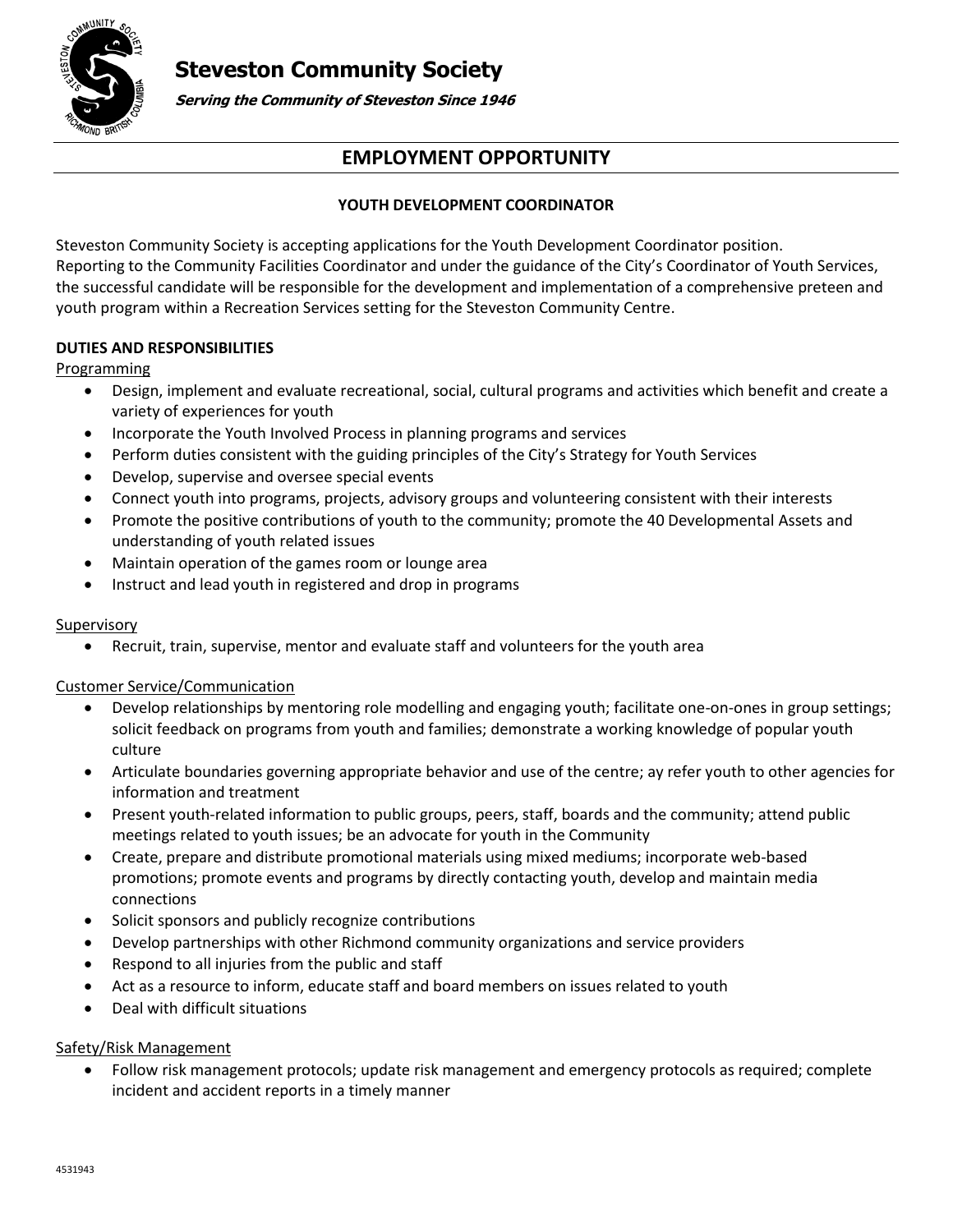# **Steveston Community Society**



**Serving the Community of Steveston Since 1946**

## **EMPLOYMENT OPPORTUNITY**

### **YOUTH DEVELOPMENT COORDINATOR**

Steveston Community Society is accepting applications for the Youth Development Coordinator position. Reporting to the Community Facilities Coordinator and under the guidance of the City's Coordinator of Youth Services, the successful candidate will be responsible for the development and implementation of a comprehensive preteen and youth program within a Recreation Services setting for the Steveston Community Centre.

### **DUTIES AND RESPONSIBILITIES**

### Programming

- Design, implement and evaluate recreational, social, cultural programs and activities which benefit and create a variety of experiences for youth
- Incorporate the Youth Involved Process in planning programs and services
- Perform duties consistent with the guiding principles of the City's Strategy for Youth Services
- Develop, supervise and oversee special events
- Connect youth into programs, projects, advisory groups and volunteering consistent with their interests
- Promote the positive contributions of youth to the community; promote the 40 Developmental Assets and understanding of youth related issues
- Maintain operation of the games room or lounge area
- Instruct and lead youth in registered and drop in programs

### **Supervisory**

Recruit, train, supervise, mentor and evaluate staff and volunteers for the youth area

### Customer Service/Communication

- Develop relationships by mentoring role modelling and engaging youth; facilitate one-on-ones in group settings; solicit feedback on programs from youth and families; demonstrate a working knowledge of popular youth culture
- Articulate boundaries governing appropriate behavior and use of the centre; ay refer youth to other agencies for information and treatment
- Present youth-related information to public groups, peers, staff, boards and the community; attend public meetings related to youth issues; be an advocate for youth in the Community
- Create, prepare and distribute promotional materials using mixed mediums; incorporate web-based promotions; promote events and programs by directly contacting youth, develop and maintain media connections
- Solicit sponsors and publicly recognize contributions
- Develop partnerships with other Richmond community organizations and service providers
- Respond to all injuries from the public and staff
- Act as a resource to inform, educate staff and board members on issues related to youth
- Deal with difficult situations

### Safety/Risk Management

 Follow risk management protocols; update risk management and emergency protocols as required; complete incident and accident reports in a timely manner